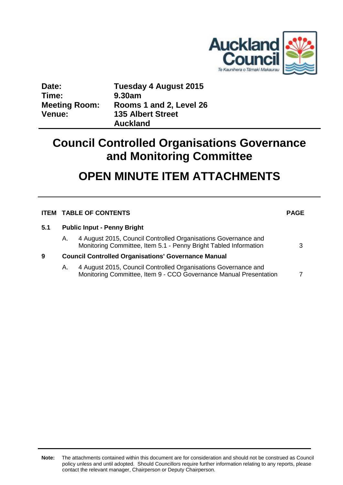

| Date:                | Tuesday 4 August 2015    |
|----------------------|--------------------------|
| Time:                | 9.30am                   |
| <b>Meeting Room:</b> | Rooms 1 and 2, Level 26  |
| <b>Venue:</b>        | <b>135 Albert Street</b> |
|                      | <b>Auckland</b>          |

## **Council Controlled Organisations Governance and Monitoring Committee**

# **OPEN MINUTE ITEM ATTACHMENTS**

|     | <b>ITEM TABLE OF CONTENTS</b>                              |                                                                                                                                     | <b>PAGE</b> |
|-----|------------------------------------------------------------|-------------------------------------------------------------------------------------------------------------------------------------|-------------|
| 5.1 |                                                            | <b>Public Input - Penny Bright</b>                                                                                                  |             |
|     | А.                                                         | 4 August 2015, Council Controlled Organisations Governance and<br>Monitoring Committee, Item 5.1 - Penny Bright Tabled Information  | 3           |
| 9   | <b>Council Controlled Organisations' Governance Manual</b> |                                                                                                                                     |             |
|     | Α.                                                         | 4 August 2015, Council Controlled Organisations Governance and<br>Monitoring Committee, Item 9 - CCO Governance Manual Presentation |             |

**Note:** The attachments contained within this document are for consideration and should not be construed as Council policy unless and until adopted. Should Councillors require further information relating to any reports, please contact the relevant manager, Chairperson or Deputy Chairperson.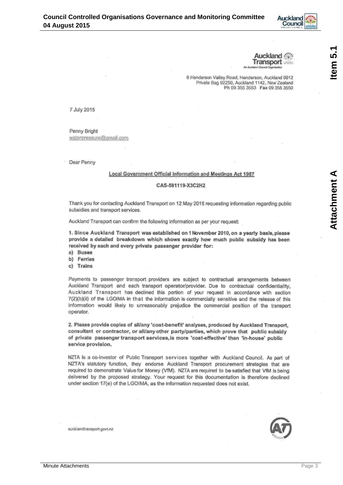

uckland Transport

6 Henderson Valley Road, Henderson, Auckland 0612 Private Bag 92250, Auckland 1142, New Zealand Ph 09 355 3553 Fax 09 355 3550

<span id="page-2-0"></span>7 July 2015

Penny Bright waterpressure@gmail.com

Dear Penny

#### Local Government Official Information and Meetings Act 1987

#### CAS-581119-X3C2H2

Thank you for contacting Auckland Transport on 12 May 2015 requesting information regarding public subsidies and transport services.

Auckland Transport can confirm the following information as per your request:

1. Since Auckland Transport was established on 1 November 2010, on a yearly basis, please provide a detailed breakdown which shows exactly how much public subsidy has been received by each and every private passenger provider for:

- a) Buses
- b) Ferries
- c) Trains

Payments to passenger transport providers are subject to contractual arrangements between Auckland Transport and each transport operator/provider. Due to contractual confidentiality, Auckland Transport has declined this portion of your request in accordance with section 7(2)(b)(ii) of the LGOIMA in that the information is commercially sensitive and the release of this information would likely to unreasonably prejudice the commercial position of the transport operator.

2. Please provide copies of all/any 'cost-benefit' analyses, produced by Auckland Transport, consultant or contractor, or all/any other party/parties, which prove that public subsidy of private passenger transport services, is more 'cost-effective' than 'in-house' public service provision.

NZTA is a co-investor of Public Transport services together with Auckland Council. As part of NZTA's statutory function, they endorse Auckland Transport procurement strategies that are required to demonstrate Value for Money (VfM). NZTA are required to be satisfied that VfM is being delivered by the proposed strategy. Your request for this documentation is therefore declined under section 17(e) of the LGOIMA, as the information requested does not exist.

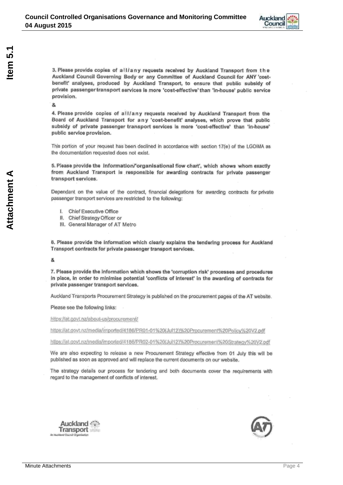

3. Please provide copies of all/any requests received by Auckland Transport from the Auckland Council Governing Body or any Committee of Auckland Council for ANY 'costbenefit' analyses, produced by Auckland Transport, to ensure that public subsidy of private passenger transport services is more 'cost-effective' than 'in-house' public service provision.

å

4. Please provide copies of all/any requests received by Auckland Transport from the Board of Auckland Transport for any 'cost-benefit' analyses, which prove that public subsidy of private passenger transport services is more 'cost-effective' than 'in-house' public service provision.

This portion of your request has been declined in accordance with section 17(e) of the LGOIMA as the documentation requested does not exist.

5. Please provide the information/'organisational flow chart', which shows whom exactly from Auckland Transport is responsible for awarding contracts for private passenger transport services.

Dependant on the value of the contract, financial delegations for awarding contracts for private passenger transport services are restricted to the following:

- I. Chief Executive Office
- II. Chief Strategy Officer or
- III. General Manager of AT Metro

6. Please provide the information which clearly explains the tendering process for Auckland Transport contracts for private passenger transport services.

å.

7. Please provide the information which shows the 'corruption risk' processes and procedures in place, in order to minimise potential 'conflicts of interest' in the awarding of contracts for private passenger transport services.

Auckland Transports Procurement Strategy is published on the procurement pages of the AT website.

Please see the following links:

Auckland Transport chland Council Organizet

https://at.govt.nz/about-us/procurement/

https://at.govt.nz/media/imported/4186/PR01-01%20(Jul12)%20Procurement%20Policy%20V2.pdf

https://at.govt.nz/media/imported/4186/PR02-01%20(Jul12)%20Procurement%20Strategy%20V2.pdf

We are also expecting to release a new Procurement Strategy effective from 01 July this will be published as soon as approved and will replace the current documents on our website.

The strategy details our process for tendering and both documents cover the requirements with regard to the management of conflicts of interest.

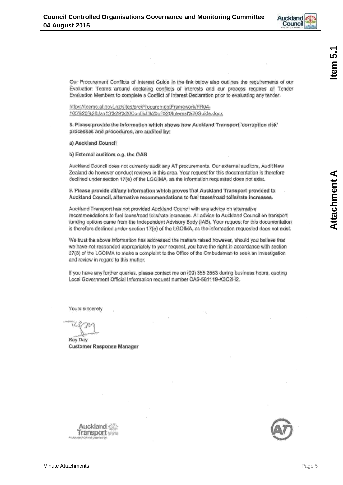

**Attachment A** 

Our Procurement Conflicts of Interest Guide in the link below also outlines the requirements of our Evaluation Teams around declaring conflicts of interests and our process requires all Tender Evaluation Members to complete a Conflict of Interest Declaration prior to evaluating any tender.

https://teams.at.govt.nz/sites/prc/ProcurementFramework/PR04-103%20%28Jan13%29%20Conflict%20of%20Interest%20Guide.docx

8. Please provide the information which shows how Auckland Transport 'corruption risk' processes and procedures, are audited by:

a) Auckland Council

b) External auditors e.g. the OAG

Auckland Council does not currently audit any AT procurements. Our external auditors, Audit New Zealand do however conduct reviews in this area. Your request for this documentation is therefore declined under section 17(e) of the LGOIMA, as the information requested does not exist.

9. Please provide all/any information which proves that Auckland Transport provided to Auckland Council, alternative recommendations to fuel taxes/road tolls/rate increases.

Auckland Transport has not provided Auckland Council with any advice on alternative recommendations to fuel taxes/road tolls/rate increases. All advice to Auckland Council on transport funding options came from the Independent Advisory Body (IAB). Your request for this documentation is therefore declined under section 17(e) of the LGOIMA, as the information requested does not exist.

We trust the above information has addressed the matters raised however, should you believe that we have not responded appropriately to your request, you have the right in accordance with section 27(3) of the LGOIMA to make a complaint to the Office of the Ombudsman to seek an investigation and review in regard to this matter.

If you have any further queries, please contact me on (09) 355 3553 during business hours, quoting Local Government Official Information request number CAS-581119-X3C2H2.

Yours sincerely

Ray Day **Customer Response Manager** 



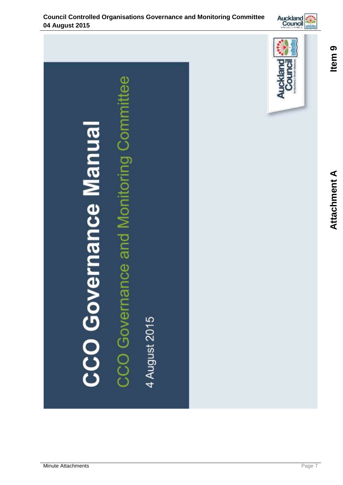<span id="page-6-0"></span>



Auckland<br>Council

 $\frac{1}{\theta}$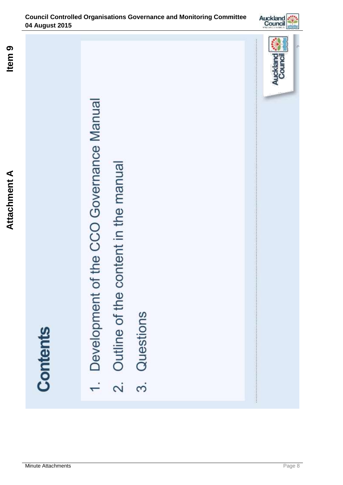**Contents** 

Development of the CCO Governance Manual

Dutline of the content in the manual

 $\overline{\mathcal{N}}$ 

Questions

3.



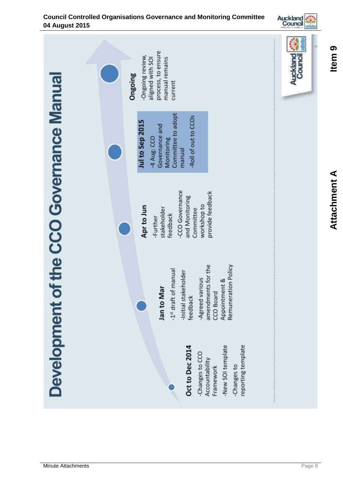

### **Council Controlled Organisations Governance and Monitoring Committee 04 August 2015**

Minute Attachments **Page 9** 

**Attachment Attachment A** 

**Item 9**

Item<sub>9</sub>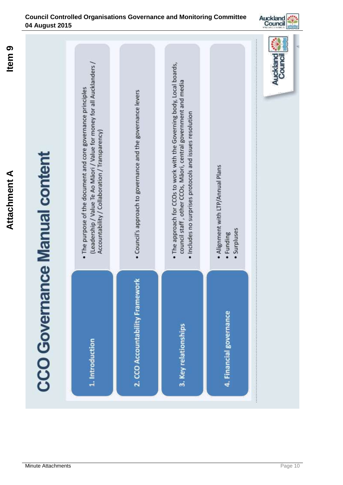



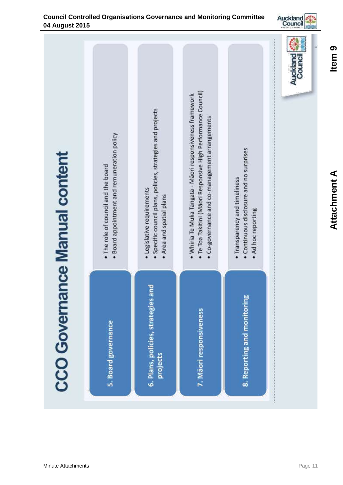

Item<sub>9</sub> **Item 9**

Minute Attachments **Page 11** 

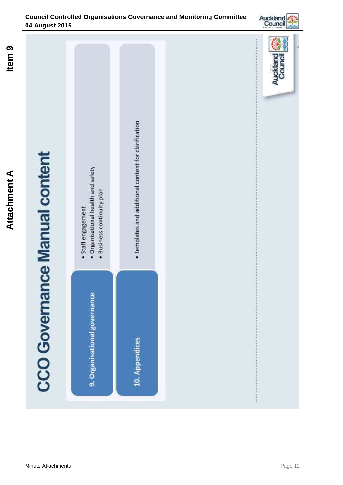### **Council Controlled Organisations Governance and Monitoring Committee 04 August 2015**